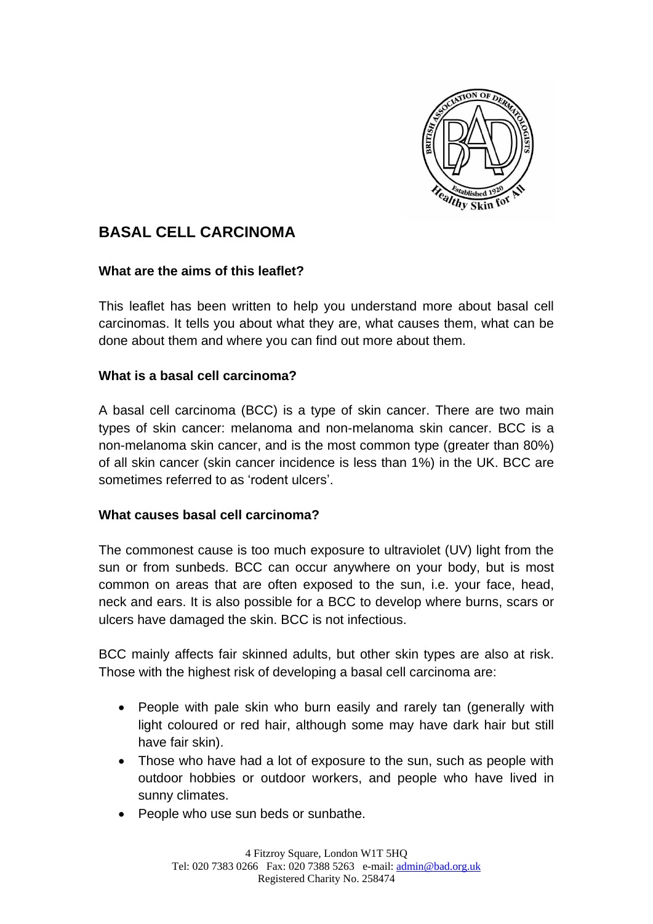

# **BASAL CELL CARCINOMA**

#### **What are the aims of this leaflet?**

This leaflet has been written to help you understand more about basal cell carcinomas. It tells you about what they are, what causes them, what can be done about them and where you can find out more about them.

# **What is a basal cell carcinoma?**

A basal cell carcinoma (BCC) is a type of skin cancer. There are two main types of skin cancer: melanoma and non-melanoma skin cancer. BCC is a non-melanoma skin cancer, and is the most common type (greater than 80%) of all skin cancer (skin cancer incidence is less than 1%) in the UK. BCC are sometimes referred to as 'rodent ulcers'.

#### **What causes basal cell carcinoma?**

The commonest cause is too much exposure to ultraviolet (UV) light from the sun or from sunbeds. BCC can occur anywhere on your body, but is most common on areas that are often exposed to the sun, i.e. your face, head, neck and ears. It is also possible for a BCC to develop where burns, scars or ulcers have damaged the skin. BCC is not infectious.

BCC mainly affects fair skinned adults, but other skin types are also at risk. Those with the highest risk of developing a basal cell carcinoma are:

- People with pale skin who burn easily and rarely tan (generally with light coloured or red hair, although some may have dark hair but still have fair skin).
- Those who have had a lot of exposure to the sun, such as people with outdoor hobbies or outdoor workers, and people who have lived in sunny climates.
- People who use sun beds or sunbathe.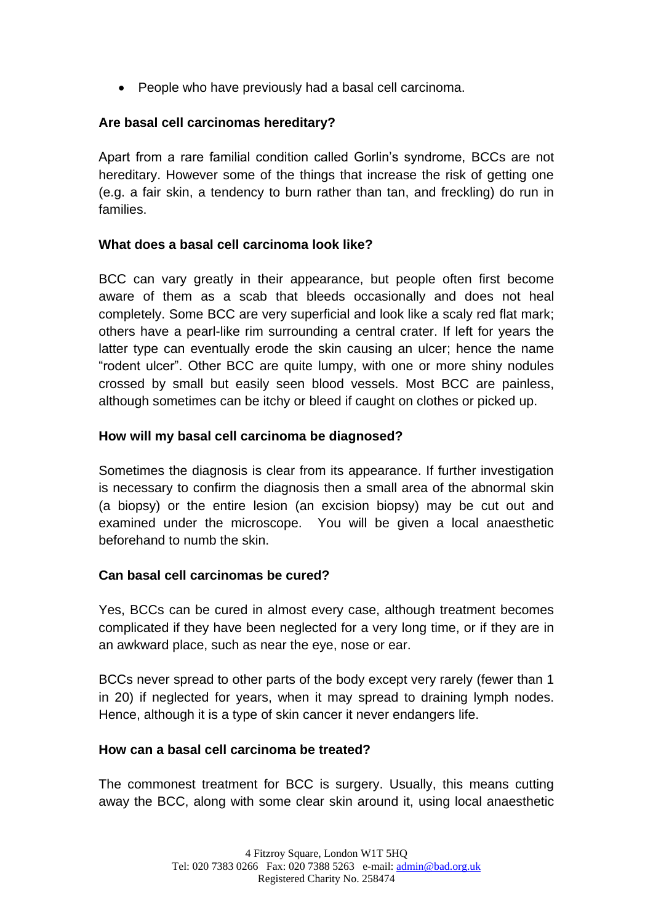People who have previously had a basal cell carcinoma.

# **Are basal cell carcinomas hereditary?**

Apart from a rare familial condition called Gorlin's syndrome, BCCs are not hereditary. However some of the things that increase the risk of getting one (e.g. a fair skin, a tendency to burn rather than tan, and freckling) do run in families.

# **What does a basal cell carcinoma look like?**

BCC can vary greatly in their appearance, but people often first become aware of them as a scab that bleeds occasionally and does not heal completely. Some BCC are very superficial and look like a scaly red flat mark; others have a pearl-like rim surrounding a central crater. If left for years the latter type can eventually erode the skin causing an ulcer; hence the name "rodent ulcer". Other BCC are quite lumpy, with one or more shiny nodules crossed by small but easily seen blood vessels. Most BCC are painless, although sometimes can be itchy or bleed if caught on clothes or picked up.

#### **How will my basal cell carcinoma be diagnosed?**

Sometimes the diagnosis is clear from its appearance. If further investigation is necessary to confirm the diagnosis then a small area of the abnormal skin (a biopsy) or the entire lesion (an excision biopsy) may be cut out and examined under the microscope. You will be given a local anaesthetic beforehand to numb the skin.

# **Can basal cell carcinomas be cured?**

Yes, BCCs can be cured in almost every case, although treatment becomes complicated if they have been neglected for a very long time, or if they are in an awkward place, such as near the eye, nose or ear.

BCCs never spread to other parts of the body except very rarely (fewer than 1 in 20) if neglected for years, when it may spread to draining lymph nodes. Hence, although it is a type of skin cancer it never endangers life.

#### **How can a basal cell carcinoma be treated?**

The commonest treatment for BCC is surgery. Usually, this means cutting away the BCC, along with some clear skin around it, using local anaesthetic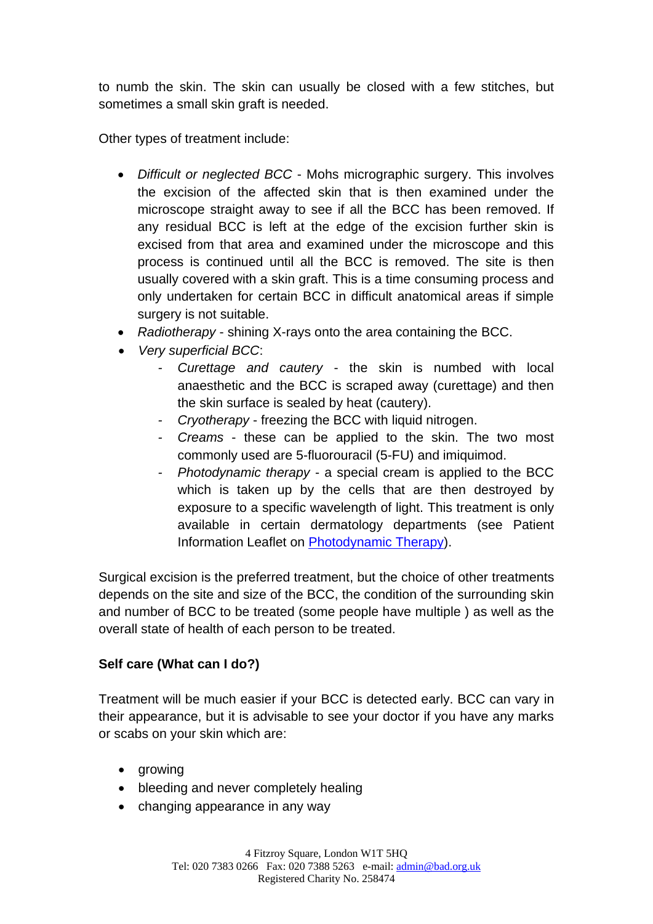to numb the skin. The skin can usually be closed with a few stitches, but sometimes a small skin graft is needed.

Other types of treatment include:

- *Difficult or neglected BCC* Mohs micrographic surgery. This involves the excision of the affected skin that is then examined under the microscope straight away to see if all the BCC has been removed. If any residual BCC is left at the edge of the excision further skin is excised from that area and examined under the microscope and this process is continued until all the BCC is removed. The site is then usually covered with a skin graft. This is a time consuming process and only undertaken for certain BCC in difficult anatomical areas if simple surgery is not suitable.
- *Radiotherapy* shining X-rays onto the area containing the BCC.
- *Very superficial BCC*:
	- *- Curettage and cautery* the skin is numbed with local anaesthetic and the BCC is scraped away (curettage) and then the skin surface is sealed by heat (cautery).
	- *- Cryotherapy* freezing the BCC with liquid nitrogen.
	- *- Creams* these can be applied to the skin. The two most commonly used are 5-fluorouracil (5-FU) and imiquimod.
	- *- Photodynamic therapy* a special cream is applied to the BCC which is taken up by the cells that are then destroyed by exposure to a specific wavelength of light. This treatment is only available in certain dermatology departments (see Patient Information Leaflet on **Photodynamic Therapy**).

Surgical excision is the preferred treatment, but the choice of other treatments depends on the site and size of the BCC, the condition of the surrounding skin and number of BCC to be treated (some people have multiple ) as well as the overall state of health of each person to be treated.

# **Self care (What can I do?)**

Treatment will be much easier if your BCC is detected early. BCC can vary in their appearance, but it is advisable to see your doctor if you have any marks or scabs on your skin which are:

- growing
- bleeding and never completely healing
- changing appearance in any way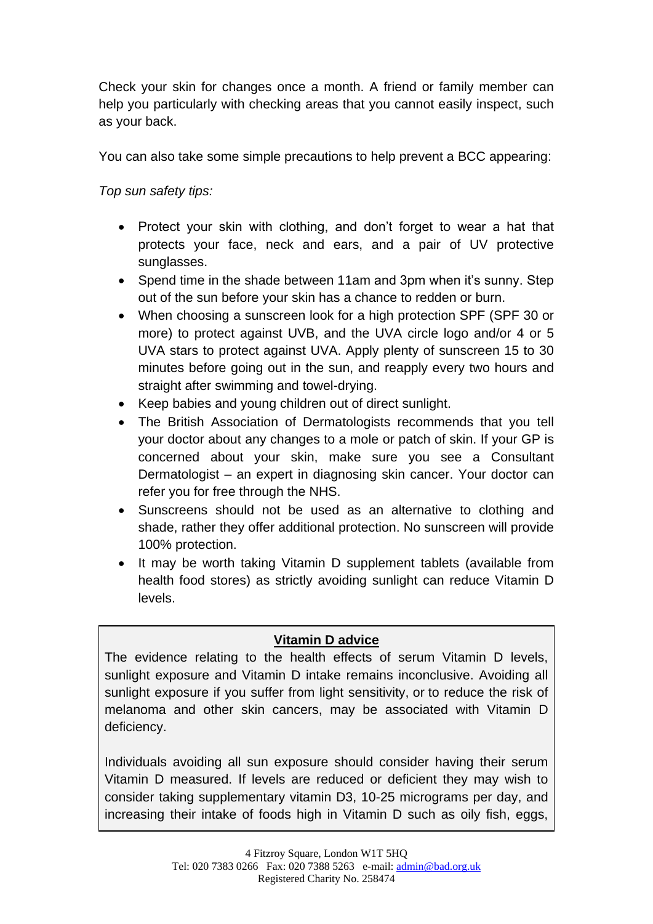Check your skin for changes once a month. A friend or family member can help you particularly with checking areas that you cannot easily inspect, such as your back.

You can also take some simple precautions to help prevent a BCC appearing:

*Top sun safety tips:*

- Protect your skin with clothing, and don't forget to wear a hat that protects your face, neck and ears, and a pair of UV protective sunglasses.
- Spend time in the shade between 11am and 3pm when it's sunny. Step out of the sun before your skin has a chance to redden or burn.
- When choosing a sunscreen look for a high protection SPF (SPF 30 or more) to protect against UVB, and the UVA circle logo and/or 4 or 5 UVA stars to protect against UVA. Apply plenty of sunscreen 15 to 30 minutes before going out in the sun, and reapply every two hours and straight after swimming and towel-drying.
- Keep babies and young children out of direct sunlight.
- The British Association of Dermatologists recommends that you tell your doctor about any changes to a mole or patch of skin. If your GP is concerned about your skin, make sure you see a Consultant Dermatologist – an expert in diagnosing skin cancer. Your doctor can refer you for free through the NHS.
- Sunscreens should not be used as an alternative to clothing and shade, rather they offer additional protection. No sunscreen will provide 100% protection.
- It may be worth taking Vitamin D supplement tablets (available from health food stores) as strictly avoiding sunlight can reduce Vitamin D levels.

# **Vitamin D advice**

The evidence relating to the health effects of serum Vitamin D levels, sunlight exposure and Vitamin D intake remains inconclusive. Avoiding all sunlight exposure if you suffer from light sensitivity, or to reduce the risk of melanoma and other skin cancers, may be associated with Vitamin D deficiency.

Individuals avoiding all sun exposure should consider having their serum Vitamin D measured. If levels are reduced or deficient they may wish to consider taking supplementary vitamin D3, 10-25 micrograms per day, and increasing their intake of foods high in Vitamin D such as oily fish, eggs,